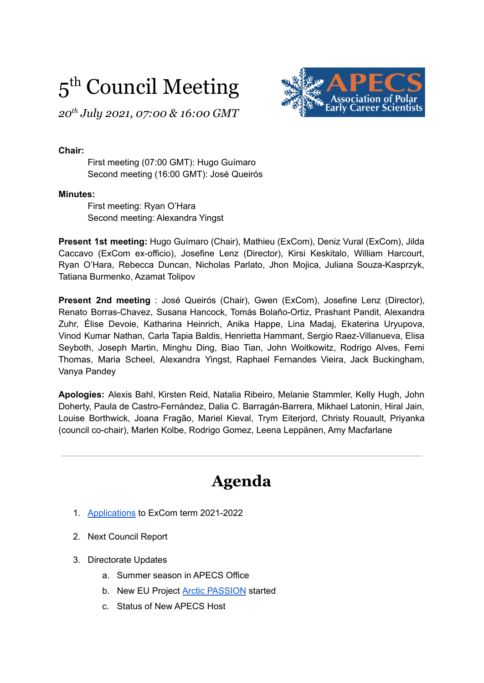# 5<sup>th</sup> Council Meeting



*20 th July 2021, 07:00 & 16:00 GMT*

#### **Chair:**

First meeting (07:00 GMT): Hugo Guímaro Second meeting (16:00 GMT): José Queirós

#### **Minutes:**

First meeting: Ryan O'Hara Second meeting: Alexandra Yingst

**Present 1st meeting:** Hugo Guímaro (Chair), Mathieu (ExCom), Deniz Vural (ExCom), Jilda Caccavo (ExCom ex-officio), Josefine Lenz (Director), Kirsi Keskitalo, William Harcourt, Ryan O'Hara, Rebecca Duncan, Nicholas Parlato, Jhon Mojica, Juliana Souza-Kasprzyk, Tatiana Burmenko, Azamat Tolipov

**Present 2nd meeting** : José Queirós (Chair), Gwen (ExCom), Josefine Lenz (Director), Renato Borras-Chavez, Susana Hancock, Tomás Bolaño-Ortiz, Prashant Pandit, Alexandra Zuhr, Élise Devoie, Katharina Heinrich, Anika Happe, Lina Madaj, Ekaterina Uryupova, Vinod Kumar Nathan, Carla Tapia Baldis, Henrietta Hammant, Sergio Raez-Villanueva, Elisa Seyboth, Joseph Martin, Minghu Ding, Biao Tian, John Woitkowitz, Rodrigo Alves, Femi Thomas, Maria Scheel, Alexandra Yingst, Raphael Fernandes Vieira, Jack Buckingham, Vanya Pandey

**Apologies:** Alexis Bahl, Kirsten Reid, Natalia Ribeiro, Melanie Stammler, Kelly Hugh, John Doherty, Paula de Castro-Fernández, Dalia C. Barragán-Barrera, Mikhael Latonin, Hiral Jain, Louise Borthwick, Joana Fragão, Mariel Kieval, Trym Eiterjord, Christy Rouault, Priyanka (council co-chair), Marlen Kolbe, Rodrigo Gomez, Leena Leppänen, Amy Macfarlane

## **Agenda**

- 1. [Applications](https://www.apecs.is/who-we-are/leadership/executive-committee/executive-committee-elections-2021-2022.html) to ExCom term 2021-2022
- 2. Next Council Report
- 3. Directorate Updates
	- a. Summer season in APECS Office
	- b. New EU Project Arctic [PASSION](https://arcticpassion.eu/) started
	- c. Status of New APECS Host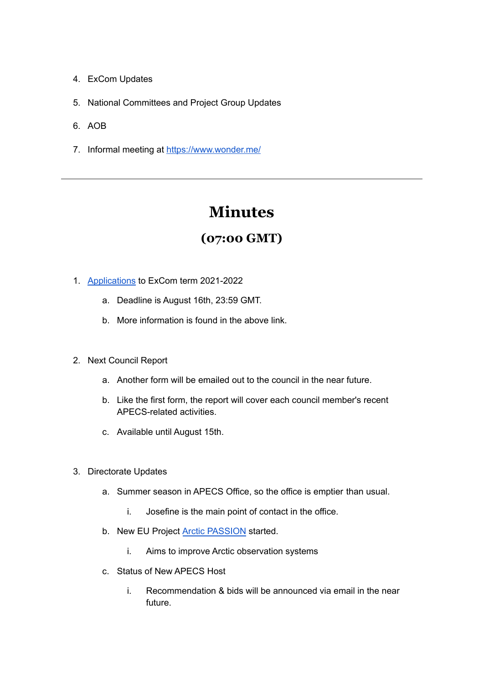- 4. ExCom Updates
- 5. National Committees and Project Group Updates
- 6. AOB
- 7. Informal meeting at <https://www.wonder.me/>

# **Minutes**

### **(07:00 GMT)**

- 1. [Applications](https://www.apecs.is/who-we-are/leadership/executive-committee/executive-committee-elections-2021-2022.html) to ExCom term 2021-2022
	- a. Deadline is August 16th, 23:59 GMT.
	- b. More information is found in the above link.
- 2. Next Council Report
	- a. Another form will be emailed out to the council in the near future.
	- b. Like the first form, the report will cover each council member's recent APECS-related activities.
	- c. Available until August 15th.
- 3. Directorate Updates
	- a. Summer season in APECS Office, so the office is emptier than usual.
		- i. Josefine is the main point of contact in the office.
	- b. New EU Project Arctic [PASSION](https://arcticpassion.eu/) started.
		- i. Aims to improve Arctic observation systems
	- c. Status of New APECS Host
		- i. Recommendation & bids will be announced via email in the near future.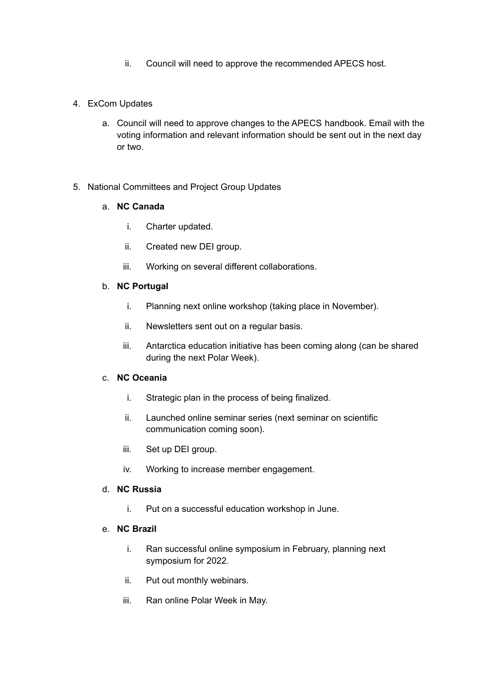ii. Council will need to approve the recommended APECS host.

#### 4. ExCom Updates

a. Council will need to approve changes to the APECS handbook. Email with the voting information and relevant information should be sent out in the next day or two.

#### 5. National Committees and Project Group Updates

#### a. **NC Canada**

- i. Charter updated.
- ii. Created new DEI group.
- iii. Working on several different collaborations.

#### b. **NC Portugal**

- i. Planning next online workshop (taking place in November).
- ii. Newsletters sent out on a regular basis.
- iii. Antarctica education initiative has been coming along (can be shared during the next Polar Week).

#### c. **NC Oceania**

- i. Strategic plan in the process of being finalized.
- ii. Launched online seminar series (next seminar on scientific communication coming soon).
- iii. Set up DEI group.
- iv. Working to increase member engagement.

#### d. **NC Russia**

i. Put on a successful education workshop in June.

#### e. **NC Brazil**

- i. Ran successful online symposium in February, planning next symposium for 2022.
- ii. Put out monthly webinars.
- iii. Ran online Polar Week in May.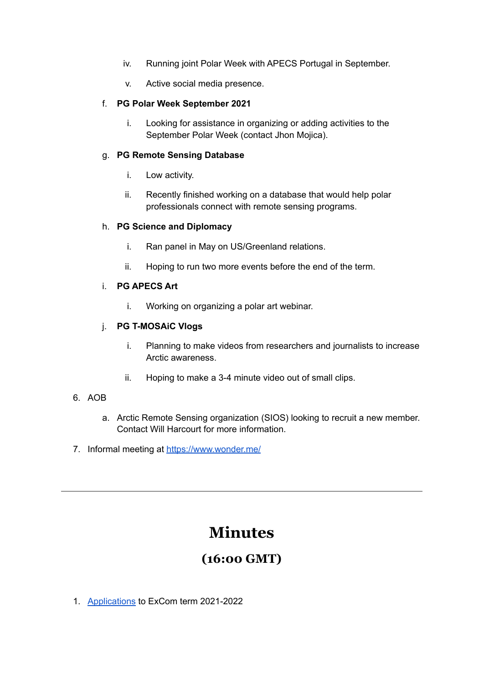- iv. Running joint Polar Week with APECS Portugal in September.
- v. Active social media presence.

#### f. **PG Polar Week September 2021**

i. Looking for assistance in organizing or adding activities to the September Polar Week (contact Jhon Mojica).

#### g. **PG Remote Sensing Database**

- i. Low activity.
- ii. Recently finished working on a database that would help polar professionals connect with remote sensing programs.

#### h. **PG Science and Diplomacy**

- i. Ran panel in May on US/Greenland relations.
- ii. Hoping to run two more events before the end of the term.

#### i. **PG APECS Art**

i. Working on organizing a polar art webinar.

#### j. **PG T-MOSAiC Vlogs**

- i. Planning to make videos from researchers and journalists to increase Arctic awareness.
- ii. Hoping to make a 3-4 minute video out of small clips.

#### 6. AOB

- a. Arctic Remote Sensing organization (SIOS) looking to recruit a new member. Contact Will Harcourt for more information.
- 7. Informal meeting at <https://www.wonder.me/>

### **Minutes**

### **(16:00 GMT)**

1. [Applications](https://www.apecs.is/who-we-are/leadership/executive-committee/executive-committee-elections-2021-2022.html) to ExCom term 2021-2022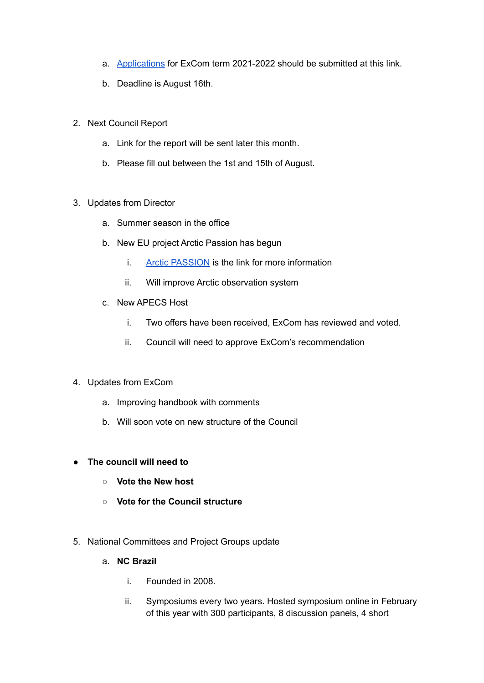- a. [Applications](https://www.apecs.is/who-we-are/leadership/executive-committee/executive-committee-elections-2021-2022.html) for ExCom term 2021-2022 should be submitted at this link.
- b. Deadline is August 16th.
- 2. Next Council Report
	- a. Link for the report will be sent later this month.
	- b. Please fill out between the 1st and 15th of August.
- 3. Updates from Director
	- a. Summer season in the office
	- b. New EU project Arctic Passion has begun
		- i. Arctic [PASSION](https://arcticpassion.eu/) is the link for more information
		- ii. Will improve Arctic observation system
	- c. New APECS Host
		- i. Two offers have been received, ExCom has reviewed and voted.
		- ii. Council will need to approve ExCom's recommendation
- 4. Updates from ExCom
	- a. Improving handbook with comments
	- b. Will soon vote on new structure of the Council
- **● The council will need to**
	- **○ Vote the New host**
	- **○ Vote for the Council structure**
- 5. National Committees and Project Groups update
	- a. **NC Brazil**
		- i. Founded in 2008.
		- ii. Symposiums every two years. Hosted symposium online in February of this year with 300 participants, 8 discussion panels, 4 short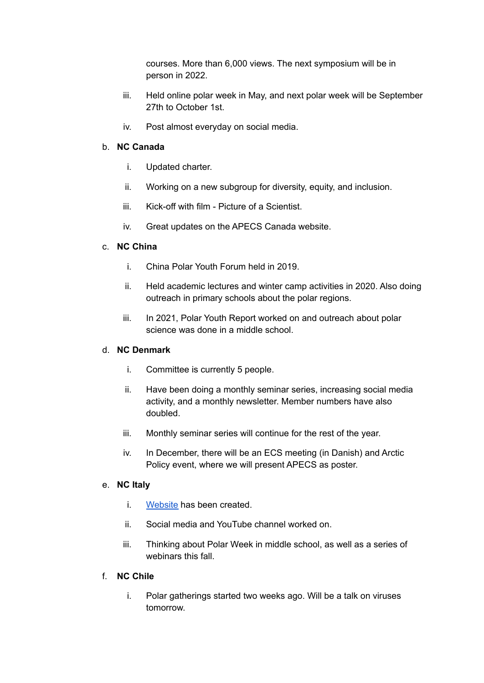courses. More than 6,000 views. The next symposium will be in person in 2022.

- iii. Held online polar week in May, and next polar week will be September 27th to October 1st.
- iv. Post almost everyday on social media.

#### b. **NC Canada**

- i. Updated charter.
- ii. Working on a new subgroup for diversity, equity, and inclusion.
- iii. Kick-off with film Picture of a Scientist.
- iv. Great updates on the APECS Canada website.

#### c. **NC China**

- i. China Polar Youth Forum held in 2019.
- ii. Held academic lectures and winter camp activities in 2020. Also doing outreach in primary schools about the polar regions.
- iii. In 2021, Polar Youth Report worked on and outreach about polar science was done in a middle school.

#### d. **NC Denmark**

- i. Committee is currently 5 people.
- ii. Have been doing a monthly seminar series, increasing social media activity, and a monthly newsletter. Member numbers have also doubled.
- iii. Monthly seminar series will continue for the rest of the year.
- iv. In December, there will be an ECS meeting (in Danish) and Arctic Policy event, where we will present APECS as poster.

#### e. **NC Italy**

- i. [Website](https://www.apecsitaly.it) has been created.
- ii. Social media and YouTube channel worked on.
- iii. Thinking about Polar Week in middle school, as well as a series of webinars this fall

#### f. **NC Chile**

i. Polar gatherings started two weeks ago. Will be a talk on viruses tomorrow.